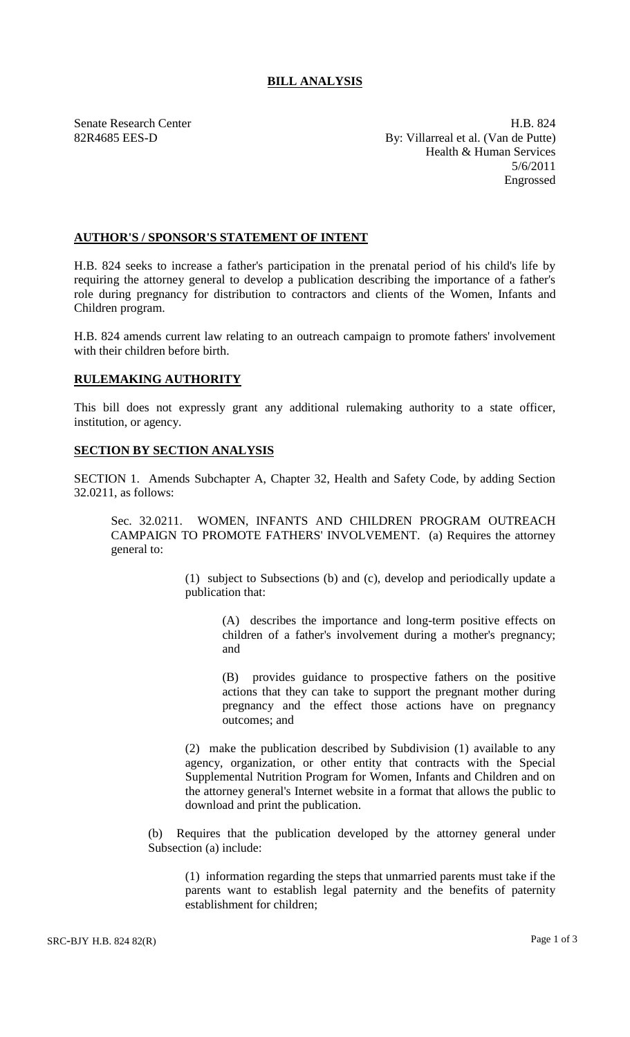## **BILL ANALYSIS**

Senate Research Center **H.B.** 824 82R4685 EES-D By: Villarreal et al. (Van de Putte) Health & Human Services 5/6/2011 Engrossed

## **AUTHOR'S / SPONSOR'S STATEMENT OF INTENT**

H.B. 824 seeks to increase a father's participation in the prenatal period of his child's life by requiring the attorney general to develop a publication describing the importance of a father's role during pregnancy for distribution to contractors and clients of the Women, Infants and Children program.

H.B. 824 amends current law relating to an outreach campaign to promote fathers' involvement with their children before birth.

## **RULEMAKING AUTHORITY**

This bill does not expressly grant any additional rulemaking authority to a state officer, institution, or agency.

## **SECTION BY SECTION ANALYSIS**

SECTION 1. Amends Subchapter A, Chapter 32, Health and Safety Code, by adding Section 32.0211, as follows:

Sec. 32.0211. WOMEN, INFANTS AND CHILDREN PROGRAM OUTREACH CAMPAIGN TO PROMOTE FATHERS' INVOLVEMENT. (a) Requires the attorney general to:

> (1) subject to Subsections (b) and (c), develop and periodically update a publication that:

> > (A) describes the importance and long-term positive effects on children of a father's involvement during a mother's pregnancy; and

> > (B) provides guidance to prospective fathers on the positive actions that they can take to support the pregnant mother during pregnancy and the effect those actions have on pregnancy outcomes; and

(2) make the publication described by Subdivision (1) available to any agency, organization, or other entity that contracts with the Special Supplemental Nutrition Program for Women, Infants and Children and on the attorney general's Internet website in a format that allows the public to download and print the publication.

(b) Requires that the publication developed by the attorney general under Subsection (a) include:

(1) information regarding the steps that unmarried parents must take if the parents want to establish legal paternity and the benefits of paternity establishment for children;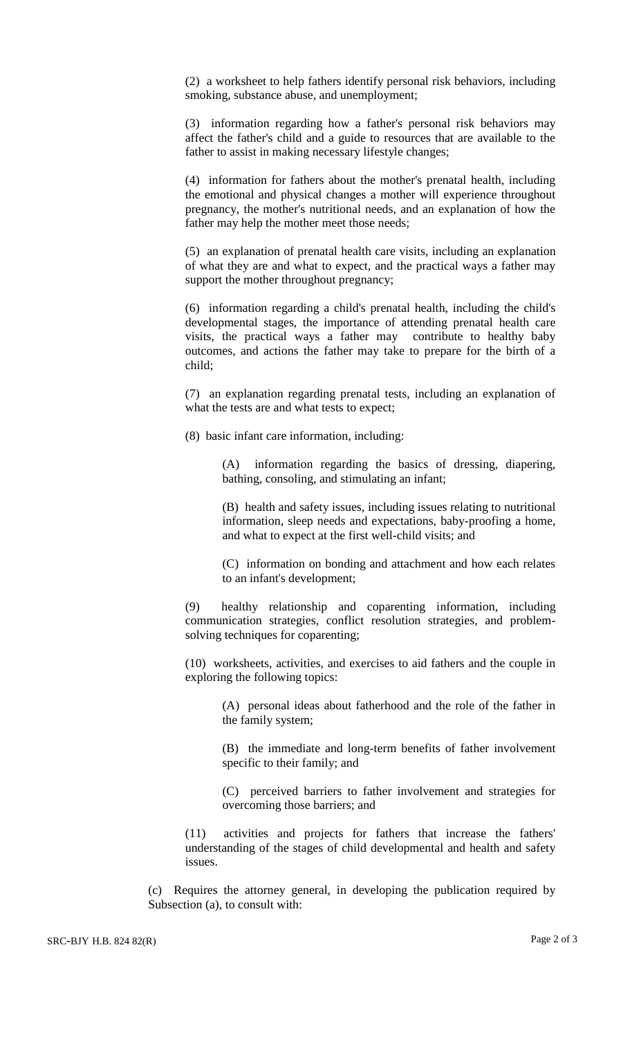(2) a worksheet to help fathers identify personal risk behaviors, including smoking, substance abuse, and unemployment;

(3) information regarding how a father's personal risk behaviors may affect the father's child and a guide to resources that are available to the father to assist in making necessary lifestyle changes;

(4) information for fathers about the mother's prenatal health, including the emotional and physical changes a mother will experience throughout pregnancy, the mother's nutritional needs, and an explanation of how the father may help the mother meet those needs;

(5) an explanation of prenatal health care visits, including an explanation of what they are and what to expect, and the practical ways a father may support the mother throughout pregnancy;

(6) information regarding a child's prenatal health, including the child's developmental stages, the importance of attending prenatal health care visits, the practical ways a father may contribute to healthy baby outcomes, and actions the father may take to prepare for the birth of a child;

(7) an explanation regarding prenatal tests, including an explanation of what the tests are and what tests to expect;

(8) basic infant care information, including:

(A) information regarding the basics of dressing, diapering, bathing, consoling, and stimulating an infant;

(B) health and safety issues, including issues relating to nutritional information, sleep needs and expectations, baby-proofing a home, and what to expect at the first well-child visits; and

(C) information on bonding and attachment and how each relates to an infant's development;

(9) healthy relationship and coparenting information, including communication strategies, conflict resolution strategies, and problemsolving techniques for coparenting;

(10) worksheets, activities, and exercises to aid fathers and the couple in exploring the following topics:

(A) personal ideas about fatherhood and the role of the father in the family system;

(B) the immediate and long-term benefits of father involvement specific to their family; and

(C) perceived barriers to father involvement and strategies for overcoming those barriers; and

(11) activities and projects for fathers that increase the fathers' understanding of the stages of child developmental and health and safety issues.

(c) Requires the attorney general, in developing the publication required by Subsection (a), to consult with: